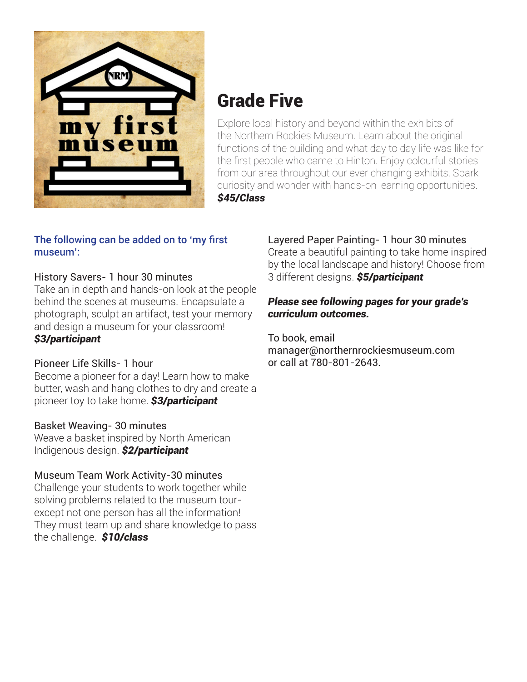

# Grade Five

Explore local history and beyond within the exhibits of the Northern Rockies Museum. Learn about the original functions of the building and what day to day life was like for the first people who came to Hinton. Enjoy colourful stories from our area throughout our ever changing exhibits. Spark curiosity and wonder with hands-on learning opportunities. *\$45/Class*

#### The following can be added on to 'my first museum':

## History Savers- 1 hour 30 minutes

Take an in depth and hands-on look at the people behind the scenes at museums. Encapsulate a photograph, sculpt an artifact, test your memory and design a museum for your classroom! *\$3/participant*

# Pioneer Life Skills- 1 hour

Become a pioneer for a day! Learn how to make butter, wash and hang clothes to dry and create a pioneer toy to take home. *\$3/participant*

## Basket Weaving- 30 minutes

Weave a basket inspired by North American Indigenous design. *\$2/participant*

# Museum Team Work Activity-30 minutes

Challenge your students to work together while solving problems related to the museum tourexcept not one person has all the information! They must team up and share knowledge to pass the challenge. *\$10/class*

Layered Paper Painting- 1 hour 30 minutes Create a beautiful painting to take home inspired by the local landscape and history! Choose from 3 different designs. *\$5/participant*

#### *Please see following pages for your grade's curriculum outcomes.*

To book, email manager@northernrockiesmuseum.com or call at 780-801-2643.